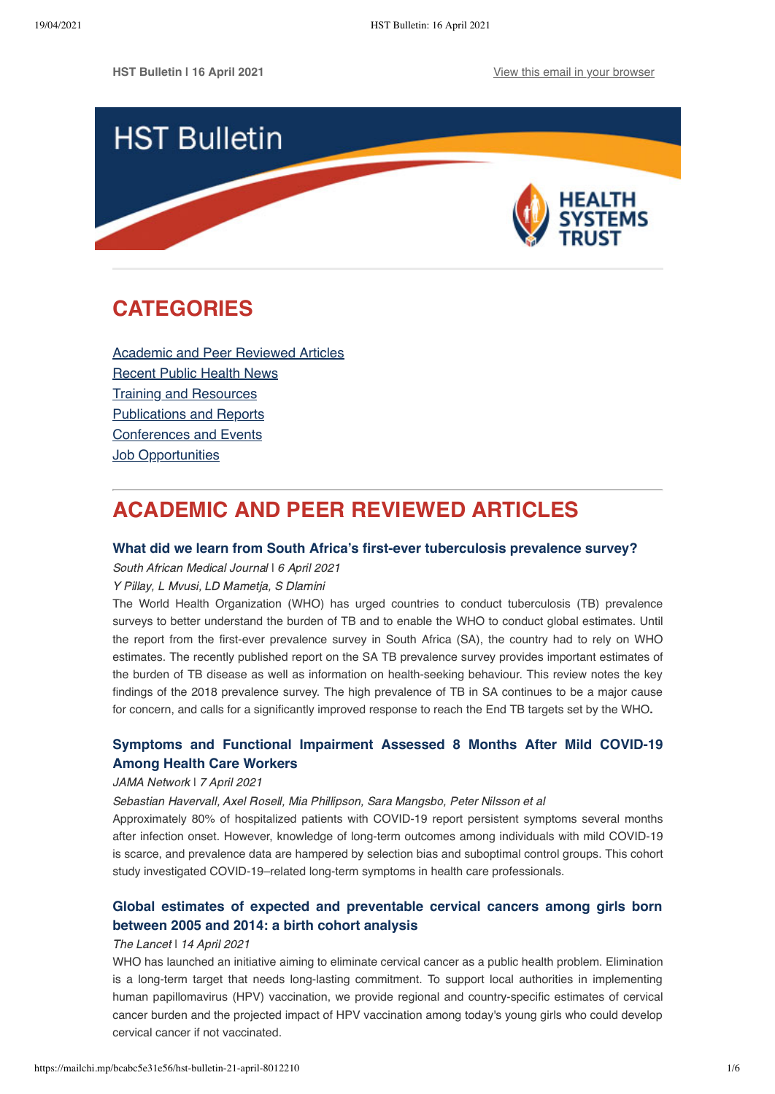

# <span id="page-0-1"></span>**CATEGORIES**

[Academic and Peer Reviewed Articles](#page-0-0) [Recent Public Health News](#page-1-0) Training and Resources [Publications and Reports](#page-3-0) [Conferences and Events](#page-4-0) **[Job Opportunities](#page-4-1)** 

# <span id="page-0-0"></span>**ACADEMIC AND PEER REVIEWED ARTICLES**

## **[What did we learn from South Africa's first-ever tuberculosis prevalence survey?](http://www.samj.org.za/index.php/samj/article/view/13265)**

South African Medical Journal I 6 April 2021

Y Pillay, L Mvusi, LD Mametja, S Dlamini

The World Health Organization (WHO) has urged countries to conduct tuberculosis (TB) prevalence surveys to better understand the burden of TB and to enable the WHO to conduct global estimates. Until the report from the first-ever prevalence survey in South Africa (SA), the country had to rely on WHO estimates. The recently published report on the SA TB prevalence survey provides important estimates of the burden of TB disease as well as information on health-seeking behaviour. This review notes the key findings of the 2018 prevalence survey. The high prevalence of TB in SA continues to be a major cause for concern, and calls for a significantly improved response to reach the End TB targets set by the WHO**.**

## **[Symptoms and Functional Impairment Assessed 8 Months After Mild COVID-19](https://jamanetwork.com/journals/jama/fullarticle/2778528) Among Health Care Workers**

## JAMA Network ǀ 7 April 2021

Sebastian Havervall, Axel Rosell, Mia Phillipson, Sara Mangsbo, Peter Nilsson et al

Approximately 80% of hospitalized patients with COVID-19 report persistent symptoms several months after infection onset. However, knowledge of long-term outcomes among individuals with mild COVID-19 is scarce, and prevalence data are hampered by selection bias and suboptimal control groups. This cohort study investigated COVID-19–related long-term symptoms in health care professionals.

# **[Global estimates of expected and preventable cervical cancers among girls born](https://www.thelancet.com/journals/lanpub/article/PIIS2468-2667(21)00046-3/fulltext) between 2005 and 2014: a birth cohort analysis**

## The Lancet | 14 April 2021

WHO has launched an initiative aiming to eliminate cervical cancer as a public health problem. Elimination is a long-term target that needs long-lasting commitment. To support local authorities in implementing human papillomavirus (HPV) vaccination, we provide regional and country-specific estimates of cervical cancer burden and the projected impact of HPV vaccination among today's young girls who could develop cervical cancer if not vaccinated.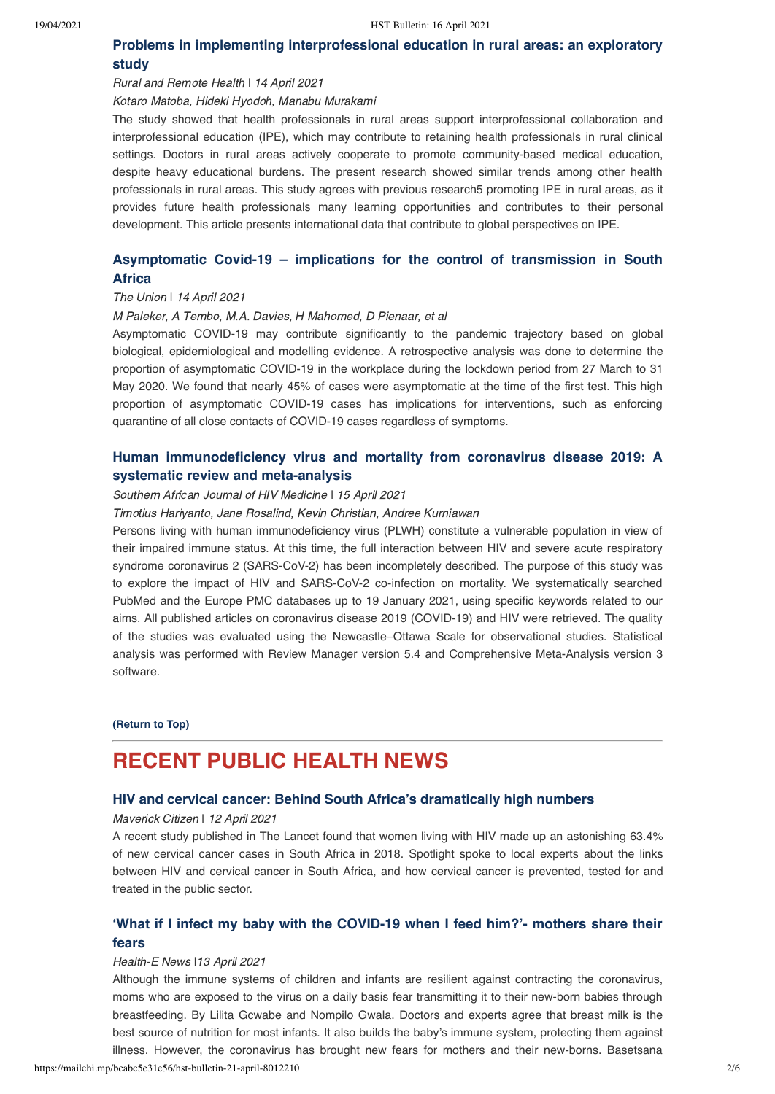## **[Problems in implementing interprofessional education in rural areas: an exploratory](https://www.rrh.org.au/journal/article/6726) study**

### Rural and Remote Health I 14 April 2021

#### Kotaro Matoba, Hideki Hyodoh, Manabu Murakami

The study showed that health professionals in rural areas support interprofessional collaboration and interprofessional education (IPE), which may contribute to retaining health professionals in rural clinical settings. Doctors in rural areas actively cooperate to promote community-based medical education, despite heavy educational burdens. The present research showed similar trends among other health professionals in rural areas. This study agrees with previous research5 promoting IPE in rural areas, as it provides future health professionals many learning opportunities and contributes to their personal development. This article presents international data that contribute to global perspectives on IPE.

## **[Asymptomatic Covid-19 – implications for the control of transmission in South](https://theunion.org/sites/default/files/2021-04/PHA_0069%20Final.pdf) Africa**

#### The Union | 14 April 2021

#### M Paleker, A Tembo, M.A. Davies, H Mahomed, D Pienaar, et al

Asymptomatic COVID-19 may contribute significantly to the pandemic trajectory based on global biological, epidemiological and modelling evidence. A retrospective analysis was done to determine the proportion of asymptomatic COVID-19 in the workplace during the lockdown period from 27 March to 31 May 2020. We found that nearly 45% of cases were asymptomatic at the time of the first test. This high proportion of asymptomatic COVID-19 cases has implications for interventions, such as enforcing quarantine of all close contacts of COVID-19 cases regardless of symptoms.

## **[Human immunodeficiency virus and mortality from coronavirus disease 2019: A](https://sajhivmed.org.za/index.php/hivmed/article/view/1220/2374) systematic review and meta-analysis**

#### Southern African Journal of HIV Medicine | 15 April 2021

#### Timotius Hariyanto, Jane Rosalind, Kevin Christian, Andree Kurniawan

Persons living with human immunodeficiency virus (PLWH) constitute a vulnerable population in view of their impaired immune status. At this time, the full interaction between HIV and severe acute respiratory syndrome coronavirus 2 (SARS-CoV-2) has been incompletely described. The purpose of this study was to explore the impact of HIV and SARS-CoV-2 co-infection on mortality. We systematically searched PubMed and the Europe PMC databases up to 19 January 2021, using specific keywords related to our aims. All published articles on coronavirus disease 2019 (COVID-19) and HIV were retrieved. The quality of the studies was evaluated using the Newcastle–Ottawa Scale for observational studies. Statistical analysis was performed with Review Manager version 5.4 and Comprehensive Meta-Analysis version 3 software.

## **[\(Return to Top\)](#page-0-1)**

# <span id="page-1-0"></span>**RECENT PUBLIC HEALTH NEWS**

## **[HIV and cervical cancer: Behind South Africa's dramatically high numbers](https://www.dailymaverick.co.za/article/2021-04-12-hiv-and-cervical-cancer-behind-south-africas-dramatically-high-numbers/)**

### Maverick Citizen | 12 April 2021

A recent study published in The Lancet found that women living with HIV made up an astonishing 63.4% of new cervical cancer cases in South Africa in 2018. Spotlight spoke to local experts about the links between HIV and cervical cancer in South Africa, and how cervical cancer is prevented, tested for and treated in the public sector.

# **['What if I infect my baby with the COVID-19 when I feed him?'- mothers share their](https://health-e.org.za/2021/04/13/breastfeeding-safe-during-covid-19/) fears**

#### Health-E News |13 April 2021

Although the immune systems of children and infants are resilient against contracting the coronavirus, moms who are exposed to the virus on a daily basis fear transmitting it to their new-born babies through breastfeeding. By Lilita Gcwabe and Nompilo Gwala. Doctors and experts agree that breast milk is the best source of nutrition for most infants. It also builds the baby's immune system, protecting them against illness. However, the coronavirus has brought new fears for mothers and their new-borns. Basetsana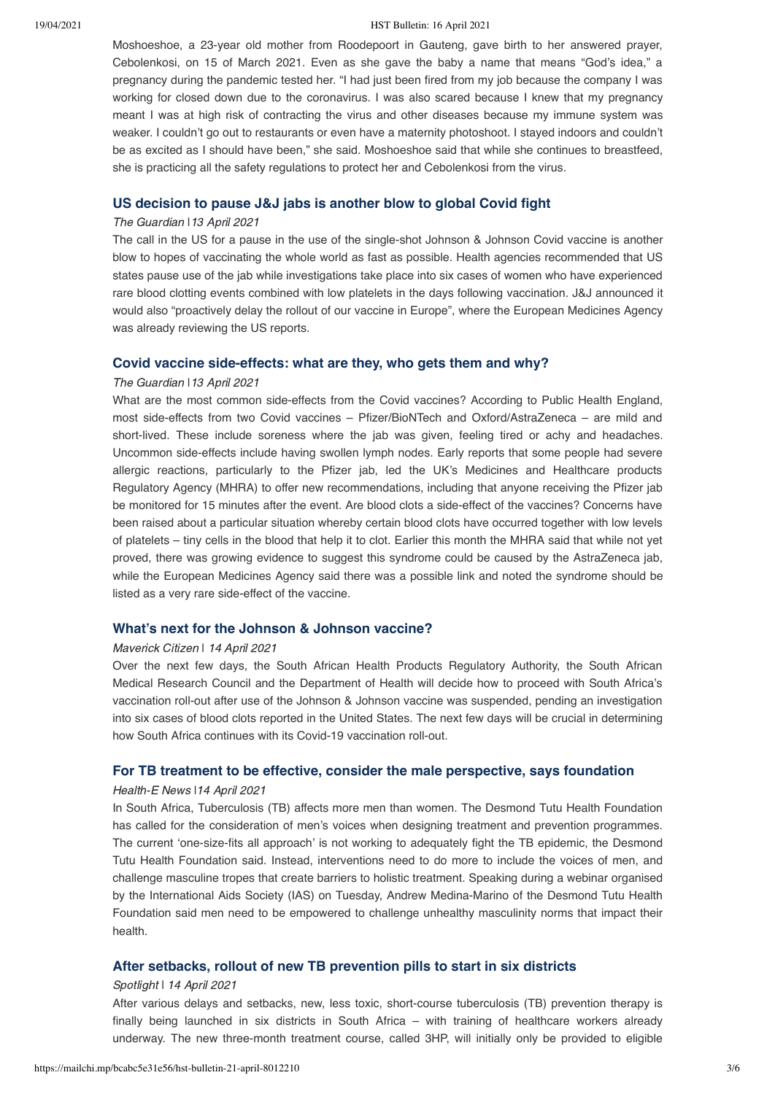#### 19/04/2021 HST Bulletin: 16 April 2021

Moshoeshoe, a 23-year old mother from Roodepoort in Gauteng, gave birth to her answered prayer, Cebolenkosi, on 15 of March 2021. Even as she gave the baby a name that means "God's idea," a pregnancy during the pandemic tested her. "I had just been fired from my job because the company I was working for closed down due to the coronavirus. I was also scared because I knew that my pregnancy meant I was at high risk of contracting the virus and other diseases because my immune system was weaker. I couldn't go out to restaurants or even have a maternity photoshoot. I stayed indoors and couldn't be as excited as I should have been," she said. Moshoeshoe said that while she continues to breastfeed. she is practicing all the safety regulations to protect her and Cebolenkosi from the virus.

## **[US decision to pause J&J jabs is another blow to global Covid fight](https://www.theguardian.com/world/2021/apr/13/us-decision-to-pause-jj-jabs-is-another-blow-to-global-covid-fight)**

### The Guardian |13 April 2021

The call in the US for a pause in the use of the single-shot Johnson & Johnson Covid vaccine is another blow to hopes of vaccinating the whole world as fast as possible. Health agencies recommended that US states pause use of the jab while investigations take place into six cases of women who have experienced rare blood clotting events combined with low platelets in the days following vaccination. J&J announced it would also "proactively delay the rollout of our vaccine in Europe", where the European Medicines Agency was already reviewing the US reports.

## **[Covid vaccine side-effects: what are they, who gets them and why?](https://www.theguardian.com/world/2021/mar/18/covid-vaccine-side-effects-what-are-they-who-gets-them-and-why)**

#### The Guardian I13 April 2021

What are the most common side-effects from the Covid vaccines? According to Public Health England, most side-effects from two Covid vaccines – Pfizer/BioNTech and Oxford/AstraZeneca – are mild and short-lived. These include soreness where the jab was given, feeling tired or achy and headaches. Uncommon side-effects include having swollen lymph nodes. Early reports that some people had severe allergic reactions, particularly to the Pfizer jab, led the UK's Medicines and Healthcare products Regulatory Agency (MHRA) to offer new recommendations, including that anyone receiving the Pfizer jab be monitored for 15 minutes after the event. Are blood clots a side-effect of the vaccines? Concerns have been raised about a particular situation whereby certain blood clots have occurred together with low levels of platelets – tiny cells in the blood that help it to clot. Earlier this month the MHRA said that while not yet proved, there was growing evidence to suggest this syndrome could be caused by the AstraZeneca jab, while the European Medicines Agency said there was a possible link and noted the syndrome should be listed as a very rare side-effect of the vaccine.

## **[What's next for the Johnson & Johnson vaccine?](https://www.dailymaverick.co.za/article/2021-04-14-whats-next-for-the-johnson-johnson-vaccine/)**

#### Maverick Citizen | 14 April 2021

Over the next few days, the South African Health Products Regulatory Authority, the South African Medical Research Council and the Department of Health will decide how to proceed with South Africa's vaccination roll-out after use of the Johnson & Johnson vaccine was suspended, pending an investigation into six cases of blood clots reported in the United States. The next few days will be crucial in determining how South Africa continues with its Covid-19 vaccination roll-out.

## **[For TB treatment to be effective, consider the male perspective, says foundation](https://health-e.org.za/2021/04/14/tb-treatment-must-focus-on-male-perspective/)**

#### Health-E News |14 April 2021

In South Africa, Tuberculosis (TB) affects more men than women. The Desmond Tutu Health Foundation has called for the consideration of men's voices when designing treatment and prevention programmes. The current 'one-size-fits all approach' is not working to adequately fight the TB epidemic, the Desmond Tutu Health Foundation said. Instead, interventions need to do more to include the voices of men, and challenge masculine tropes that create barriers to holistic treatment. Speaking during a webinar organised by the International Aids Society (IAS) on Tuesday, Andrew Medina-Marino of the Desmond Tutu Health Foundation said men need to be empowered to challenge unhealthy masculinity norms that impact their health.

## **[After setbacks, rollout of new TB prevention pills to start in six districts](https://www.spotlightnsp.co.za/2021/04/14/after-setbacks-rollout-of-new-tb-prevention-pills-to-start-in-six-districts/)**

#### Spotlight | 14 April 2021

After various delays and setbacks, new, less toxic, short-course tuberculosis (TB) prevention therapy is finally being launched in six districts in South Africa – with training of healthcare workers already underway. The new three-month treatment course, called 3HP, will initially only be provided to eligible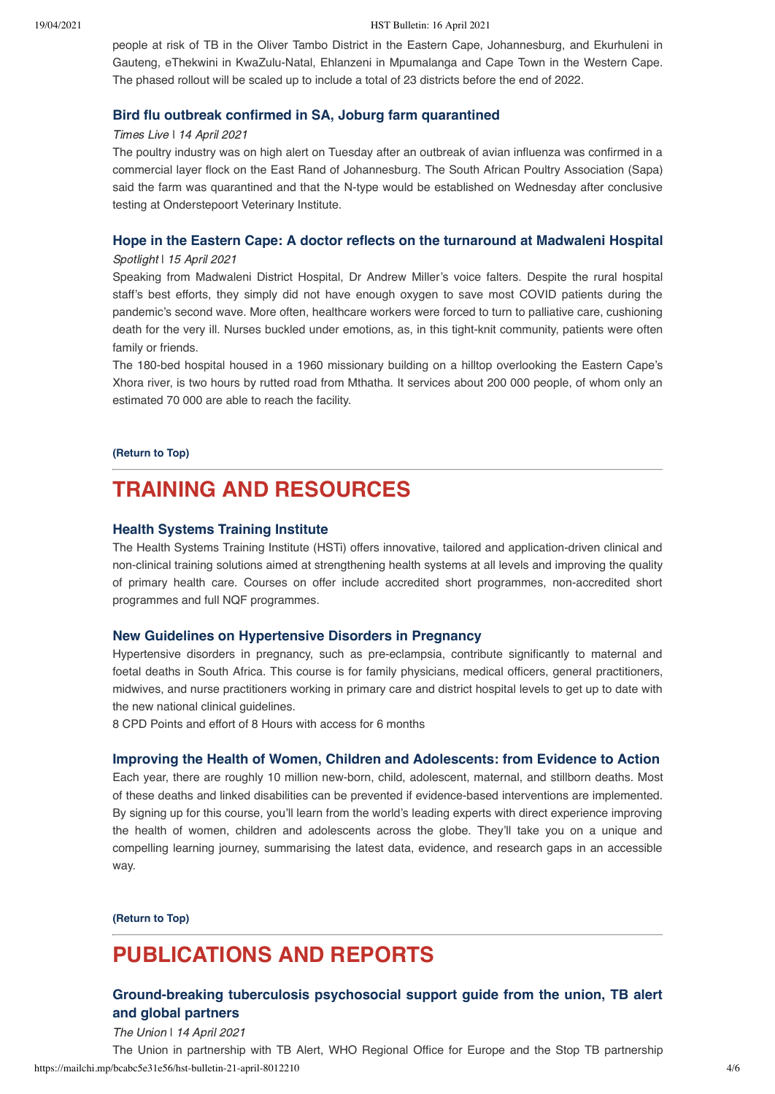people at risk of TB in the Oliver Tambo District in the Eastern Cape, Johannesburg, and Ekurhuleni in Gauteng, eThekwini in KwaZulu-Natal, Ehlanzeni in Mpumalanga and Cape Town in the Western Cape. The phased rollout will be scaled up to include a total of 23 districts before the end of 2022.

### **[Bird flu outbreak confirmed in SA, Joburg farm quarantined](https://www.timeslive.co.za/news/south-africa/2021-04-14-bird-flu-outbreak-confirmed-in-sa-joburg-farm-quarantined/)**

## Times Live | 14 April 2021

The poultry industry was on high alert on Tuesday after an outbreak of avian influenza was confirmed in a commercial layer flock on the East Rand of Johannesburg. The South African Poultry Association (Sapa) said the farm was quarantined and that the N-type would be established on Wednesday after conclusive testing at Onderstepoort Veterinary Institute.

### **[Hope in the Eastern Cape: A doctor reflects on the turnaround at Madwaleni Hospital](https://www.spotlightnsp.co.za/2021/04/15/hope-in-the-eastern-cape-a-doctor-reflects-on-the-turnaround-at-madwaleni-hospital/)**

#### Spotlight | 15 April 2021

Speaking from Madwaleni District Hospital, Dr Andrew Miller's voice falters. Despite the rural hospital staff's best efforts, they simply did not have enough oxygen to save most COVID patients during the pandemic's second wave. More often, healthcare workers were forced to turn to palliative care, cushioning death for the very ill. Nurses buckled under emotions, as, in this tight-knit community, patients were often family or friends.

The 180-bed hospital housed in a 1960 missionary building on a hilltop overlooking the Eastern Cape's Xhora river, is two hours by rutted road from Mthatha. It services about 200 000 people, of whom only an estimated 70 000 are able to reach the facility.

**[\(Return to Top\)](#page-0-1)**

# <span id="page-3-0"></span>**TRAINING AND RESOURCES**

### **[Health Systems Training Institute](https://www.hstinstitute.co.za/Training)**

The Health Systems Training Institute (HSTi) offers innovative, tailored and application-driven clinical and non-clinical training solutions aimed at strengthening health systems at all levels and improving the quality of primary health care. Courses on offer include accredited short programmes, non-accredited short programmes and full NQF programmes.

#### **[New Guidelines on Hypertensive Disorders in Pregnancy](https://healthcare-ecpd.co.za/enrol/shoppingcart/view.php?id=2866)**

Hypertensive disorders in pregnancy, such as pre-eclampsia, contribute significantly to maternal and foetal deaths in South Africa. This course is for family physicians, medical officers, general practitioners, midwives, and nurse practitioners working in primary care and district hospital levels to get up to date with the new national clinical guidelines.

8 CPD Points and effort of 8 Hours with access for 6 months

#### **[Improving the Health of Women, Children and Adolescents: from Evidence to Action](https://www.lshtm.ac.uk/study/courses/short-courses/free-online-courses/improving-health-women-children-adolescents)**

Each year, there are roughly 10 million new-born, child, adolescent, maternal, and stillborn deaths. Most of these deaths and linked disabilities can be prevented if evidence-based interventions are implemented. By signing up for this course, you'll learn from the world's leading experts with direct experience improving the health of women, children and adolescents across the globe. They'll take you on a unique and compelling learning journey, summarising the latest data, evidence, and research gaps in an accessible way.

**[\(Return to Top\)](#page-0-1)**

# **PUBLICATIONS AND REPORTS**

# **[Ground-breaking tuberculosis psychosocial support guide from the union, TB alert](https://theunion.org/news/ground-breaking-tuberculosis-psychosocial-support-guide-from-the-union-tb-alert-and-global-partners) and global partners**

The Union | 14 April 2021

https://mailchi.mp/bcabc5e31e56/hst-bulletin-21-april-8012210 4/6 The Union in partnership with TB Alert, WHO Regional Office for Europe and the Stop TB partnership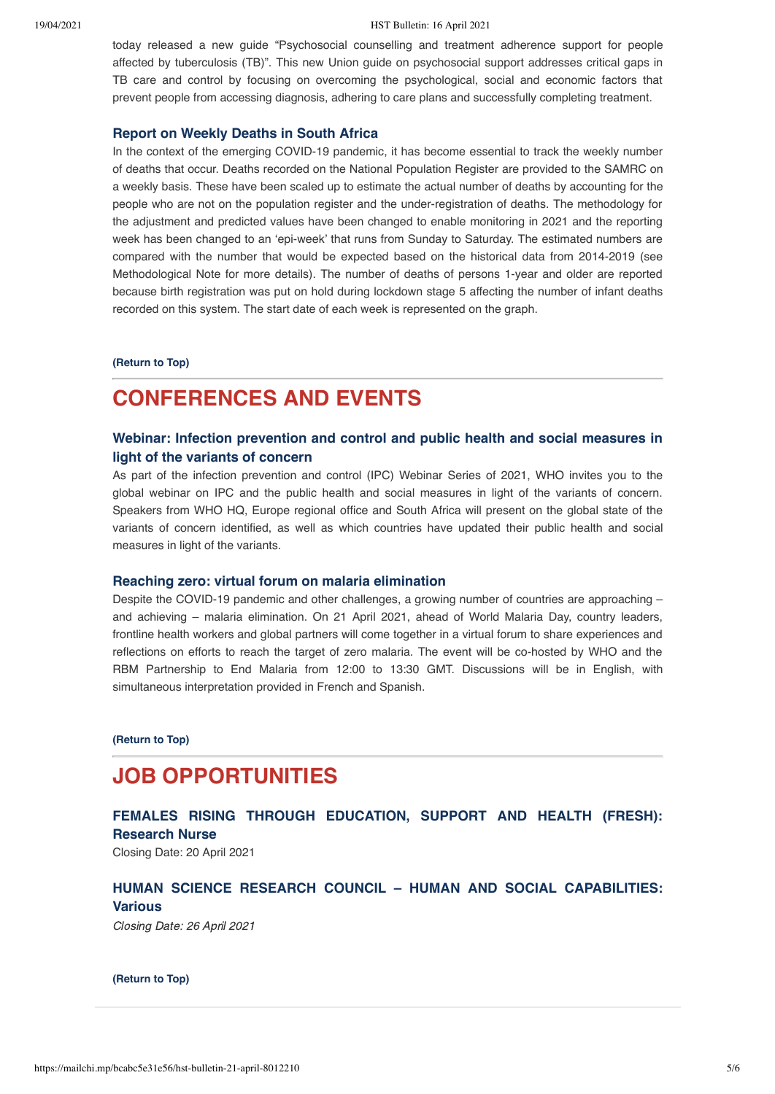#### 19/04/2021 HST Bulletin: 16 April 2021

today released a new guide "Psychosocial counselling and treatment adherence support for people affected by tuberculosis (TB)". This new Union guide on psychosocial support addresses critical gaps in TB care and control by focusing on overcoming the psychological, social and economic factors that prevent people from accessing diagnosis, adhering to care plans and successfully completing treatment.

## **[Report on Weekly Deaths in South Africa](https://www.samrc.ac.za/reports/report-weekly-deaths-south-africa)**

In the context of the emerging COVID-19 pandemic, it has become essential to track the weekly number of deaths that occur. Deaths recorded on the National Population Register are provided to the SAMRC on a weekly basis. These have been scaled up to estimate the actual number of deaths by accounting for the people who are not on the population register and the under-registration of deaths. The methodology for the adjustment and predicted values have been changed to enable monitoring in 2021 and the reporting week has been changed to an 'epi-week' that runs from Sunday to Saturday. The estimated numbers are compared with the number that would be expected based on the historical data from 2014-2019 (see Methodological Note for more details). The number of deaths of persons 1-year and older are reported because birth registration was put on hold during lockdown stage 5 affecting the number of infant deaths recorded on this system. The start date of each week is represented on the graph.

#### **[\(Return to Top\)](#page-0-1)**

# <span id="page-4-0"></span>**CONFERENCES AND EVENTS**

# **[Webinar: Infection prevention and control and public health and social measures in](https://echo.zoom.us/webinar/register/WN_uPULV-9XSC-7dG5BRh_dlw) light of the variants of concern**

As part of the infection prevention and control (IPC) Webinar Series of 2021, WHO invites you to the global webinar on IPC and the public health and social measures in light of the variants of concern. Speakers from WHO HQ, Europe regional office and South Africa will present on the global state of the variants of concern identified, as well as which countries have updated their public health and social measures in light of the variants.

### **[Reaching zero: virtual forum on malaria elimination](https://who.zoom.us/webinar/register/WN_y42lgfg1TMyVqVPWqMPCbA)**

Despite the COVID-19 pandemic and other challenges, a growing number of countries are approaching – and achieving – malaria elimination. On 21 April 2021, ahead of World Malaria Day, country leaders, frontline health workers and global partners will come together in a virtual forum to share experiences and reflections on efforts to reach the target of zero malaria. The event will be co-hosted by WHO and the RBM Partnership to End Malaria from 12:00 to 13:30 GMT. Discussions will be in English, with simultaneous interpretation provided in French and Spanish.

**[\(Return to Top\)](#page-0-1)**

# <span id="page-4-1"></span>**JOB OPPORTUNITIES**

**[FEMALES RISING THROUGH EDUCATION, SUPPORT AND HEALTH \(FRESH\):](https://www.hst.org.za/Pages/PoResearch-Nurse-HST.aspx) Research Nurse**

Closing Date: 20 April 2021

# **[HUMAN SCIENCE RESEARCH COUNCIL – HUMAN AND SOCIAL CAPABILITIES:](http://www.hsrc.ac.za/en/jobs/hsc/sabssm-jobs-2021) Various**

Closing Date: 26 April 2021

#### **[\(Return to Top\)](#page-0-1)**